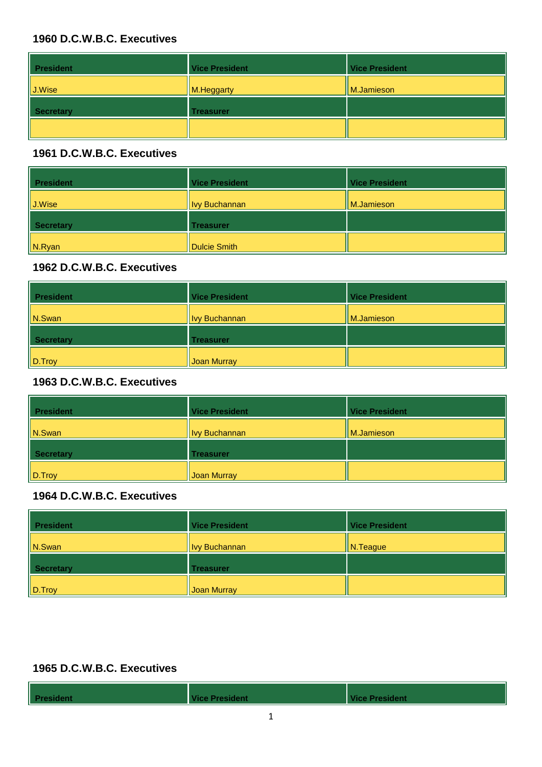| <b>President</b>   | <b>Vice President</b> | <b>Vice President</b> |
|--------------------|-----------------------|-----------------------|
| $\parallel$ J.Wise | M.Heggarty            | M.Jamieson            |
| Secretary          | <b>Treasurer</b>      |                       |
|                    |                       |                       |

#### **1961 D.C.W.B.C. Executives**

| <b>President</b>   | <b>Vice President</b> | <b>Vice President</b> |
|--------------------|-----------------------|-----------------------|
| $\parallel$ J.Wise | <b>Ivy Buchannan</b>  | M.Jamieson            |
| Secretary          | <b>Treasurer</b>      |                       |
| $\ $ N.Ryan        | Dulcie Smith          |                       |

#### **1962 D.C.W.B.C. Executives**

| <b>President</b>    | <b>Vice President</b> | <b>Vice President</b> |
|---------------------|-----------------------|-----------------------|
| $\vert\vert$ N.Swan | <b>Ivy Buchannan</b>  | M.Jamieson            |
| <b>Secretary</b>    | <b>Treasurer</b>      |                       |
| $\ $ D. Troy        | Joan Murray           |                       |

#### **1963 D.C.W.B.C. Executives**

| <b>President</b> | <b>Vice President</b> | <b>Vice President</b> |
|------------------|-----------------------|-----------------------|
| $\vert$ N.Swan   | <b>Ivy Buchannan</b>  | M.Jamieson            |
| <b>Secretary</b> | <b>Treasurer</b>      |                       |
| D.Troy           | Joan Murray           |                       |

# **1964 D.C.W.B.C. Executives**

| <b>President</b> | <b>Vice President</b> | <b>Vice President</b> |
|------------------|-----------------------|-----------------------|
| $\ $ N.Swan      | <b>Ivy Buchannan</b>  | N. Teague             |
| Secretary        | <b>Treasurer</b>      |                       |
| $\ $ D. Troy     | Joan Murray           |                       |

| <b>President</b> | <b>Vice President</b> | Vice President |
|------------------|-----------------------|----------------|
|                  |                       |                |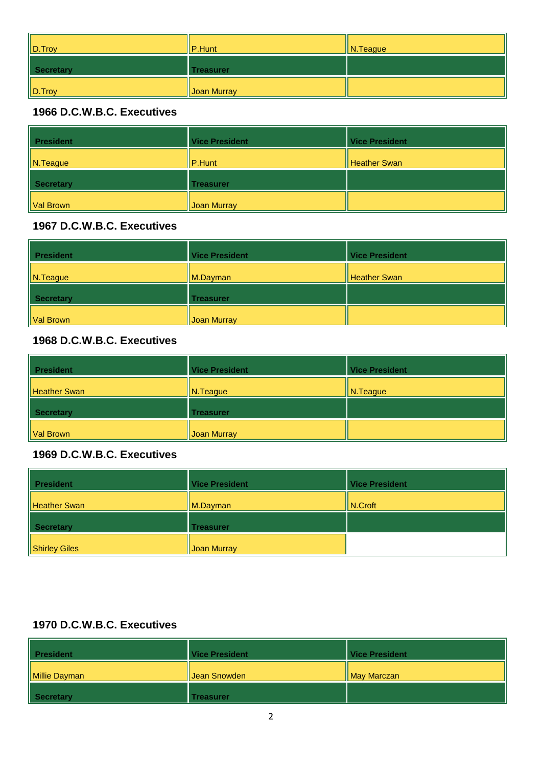| $\ $ D. Troy | $\ $ P.Hunt      | $\parallel$ N. Teague |
|--------------|------------------|-----------------------|
| Secretary    | <b>Treasurer</b> |                       |
| $\ $ D. Troy | Joan Murray      |                       |

| <b>President</b> | <b>Vice President</b> | <b>Vice President</b> |
|------------------|-----------------------|-----------------------|
| $\ $ N.Teague    | P.Hunt                | <b>Heather Swan</b>   |
| <b>Secretary</b> | <b>Treasurer</b>      |                       |
| Val Brown        | <b>Joan Murray</b>    |                       |

## **1967 D.C.W.B.C. Executives**

| <b>President</b> | <b>Vice President</b> | <b>Vice President</b> |
|------------------|-----------------------|-----------------------|
| $\ $ N. Teague   | $\parallel$ M.Dayman  | <b>Heather Swan</b>   |
| Secretary        | <b>Treasurer</b>      |                       |
| Val Brown        | Joan Murray           |                       |

# **1968 D.C.W.B.C. Executives**

| <b>President</b>    | <b>Vice President</b> | <b>Vice President</b>  |
|---------------------|-----------------------|------------------------|
| <b>Heather Swan</b> | N.Teague              | $\vert\vert$ N. Teague |
| <b>Secretary</b>    | <b>Treasurer</b>      |                        |
| Val Brown           | Joan Murray           |                        |

#### **1969 D.C.W.B.C. Executives**

| <b>President</b>    | <b>Vice President</b> | <b>Vice President</b> |
|---------------------|-----------------------|-----------------------|
| <b>Heather Swan</b> | $\parallel$ M.Dayman  | $\ $ N.Croft          |
| Secretary           | <b>Treasurer</b>      |                       |
| Shirley Giles       | Joan Murray           |                       |

| <b>President</b> | <b>Vice President</b> | Vice President |
|------------------|-----------------------|----------------|
| Millie Dayman    | Uean Snowden          | May Marczan    |
| Secretary        | Treasurer             |                |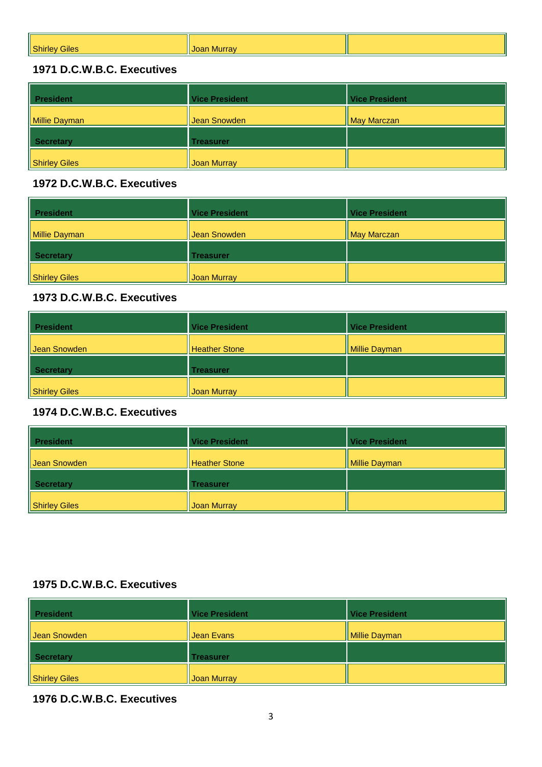| Shirley<br>Giles. | <sub>⊲i</sub> Joan Murrav |  |
|-------------------|---------------------------|--|
|                   |                           |  |

| <b>President</b> | <b>Vice President</b> | <b>Vice President</b> |
|------------------|-----------------------|-----------------------|
| Millie Dayman    | Jean Snowden          | <b>May Marczan</b>    |
| Secretary        | <b>Treasurer</b>      |                       |
| Shirley Giles    | Joan Murray           |                       |

#### **1972 D.C.W.B.C. Executives**

| <b>President</b><br>II | <b>Vice President</b> | <b>Vice President</b> |
|------------------------|-----------------------|-----------------------|
| Millie Dayman          | Jean Snowden          | <b>May Marczan</b>    |
| Secretary              | <b>Treasurer</b>      |                       |
| Shirley Giles          | Joan Murray           |                       |

## **1973 D.C.W.B.C. Executives**

| <b>President</b> | <b>Vice President</b> | <b>Vice President</b> |
|------------------|-----------------------|-----------------------|
| Jean Snowden     | <b>Heather Stone</b>  | <b>Millie Dayman</b>  |
| Secretary        | <b>Treasurer</b>      |                       |
| Shirley Giles    | Joan Murray           |                       |

#### **1974 D.C.W.B.C. Executives**

| <b>President</b> | <b>Vice President</b> | <b>Vice President</b> |
|------------------|-----------------------|-----------------------|
| Jean Snowden     | Heather Stone         | <b>Millie Dayman</b>  |
| <b>Secretary</b> | <b>Treasurer</b>      |                       |
| Shirley Giles    | <b>Joan Murray</b>    |                       |

### **1975 D.C.W.B.C. Executives**

| <b>President</b>     | <b>Vice President</b> | <b>Vice President</b> |
|----------------------|-----------------------|-----------------------|
| Uean Snowden         | Jean Evans            | Millie Dayman         |
| <b>Secretary</b>     | <b>Treasurer</b>      |                       |
| <b>Shirley Giles</b> | <b>Joan Murray</b>    |                       |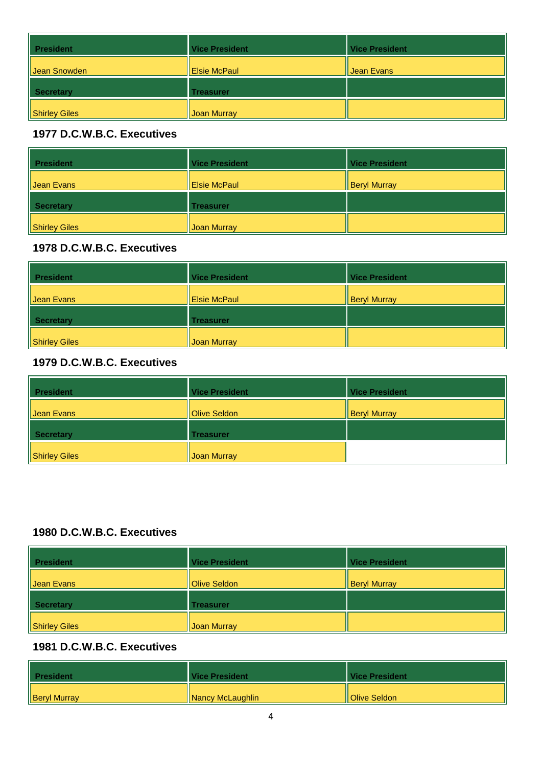| <b>President</b> | <b>Vice President</b> | <b>Vice President</b> |
|------------------|-----------------------|-----------------------|
| Jean Snowden     | <b>Elsie McPaul</b>   | Jean Evans            |
| Secretary        | <b>Treasurer</b>      |                       |
| Shirley Giles    | Joan Murray           |                       |

| <b>President</b> | <b>Vice President</b> | <b>Vice President</b> |
|------------------|-----------------------|-----------------------|
| Jean Evans       | <b>Elsie McPaul</b>   | <b>Beryl Murray</b>   |
| Secretary        | <b>Treasurer</b>      |                       |
| Shirley Giles    | Joan Murray           |                       |

## **1978 D.C.W.B.C. Executives**

| <b>President</b>     | <b>Vice President</b> | <b>Vice President</b> |
|----------------------|-----------------------|-----------------------|
| Uean Evans           | <b>Elsie McPaul</b>   | <b>Beryl Murray</b>   |
| <b>Secretary</b>     | <b>Treasurer</b>      |                       |
| <b>Shirley Giles</b> | Joan Murray           |                       |

## **1979 D.C.W.B.C. Executives**

| <b>President</b> | <b>Vice President</b> | <b>Vice President</b> |
|------------------|-----------------------|-----------------------|
| Jean Evans       | Olive Seldon          | <b>Beryl Murray</b>   |
| Secretary        | <b>Treasurer</b>      |                       |
| Shirley Giles    | Joan Murray           |                       |

## **1980 D.C.W.B.C. Executives**

| <b>President</b>     | <b>Vice President</b> | <b>Vice President</b> |
|----------------------|-----------------------|-----------------------|
| Jean Evans           | Olive Seldon          | <b>Beryl Murray</b>   |
| <b>Secretary</b>     | <b>Treasurer</b>      |                       |
| <b>Shirley Giles</b> | Joan Murray           |                       |

| <b>President</b>    | Vice President          | Vice President         |
|---------------------|-------------------------|------------------------|
| <b>Beryl Murray</b> | <b>Nancy McLaughlin</b> | <b>Il Olive Seldon</b> |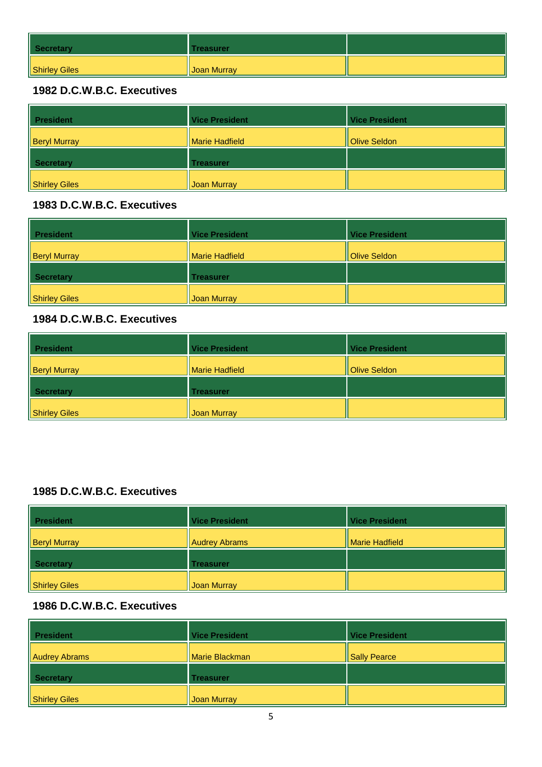| Secretary     | Treasurer          |  |
|---------------|--------------------|--|
| Shirley Giles | <b>Joan Murray</b> |  |

| <b>President</b>    | <b>Vice President</b> | <b>Vice President</b> |
|---------------------|-----------------------|-----------------------|
| <b>Beryl Murray</b> | <b>Marie Hadfield</b> | <b>Olive Seldon</b>   |
| Secretary           | <b>Treasurer</b>      |                       |
| Shirley Giles       | <b>Joan Murray</b>    |                       |

#### **1983 D.C.W.B.C. Executives**

| <b>President</b>    | <b>Vice President</b> | <b>Vice President</b> |
|---------------------|-----------------------|-----------------------|
| <b>Beryl Murray</b> | Marie Hadfield        | Olive Seldon          |
| Secretary           | <b>Treasurer</b>      |                       |
| Shirley Giles       | Joan Murray           |                       |

#### **1984 D.C.W.B.C. Executives**

| <b>President</b>    | <b>Vice President</b>   | <b>Vice President</b> |
|---------------------|-------------------------|-----------------------|
| <b>Beryl Murray</b> | <b>I</b> Marie Hadfield | Olive Seldon          |
| Secretary           | <b>Treasurer</b>        |                       |
| Shirley Giles       | Joan Murray             |                       |

# **1985 D.C.W.B.C. Executives**

| <b>President</b>    | <b>Vice President</b> | <b>Vice President</b> |
|---------------------|-----------------------|-----------------------|
| <b>Beryl Murray</b> | <b>Audrey Abrams</b>  | Marie Hadfield        |
| Secretary           | <b>Treasurer</b>      |                       |
| Shirley Giles       | Joan Murray           |                       |

| <b>President</b>     | <b>Vice President</b> | <b>Vice President</b> |
|----------------------|-----------------------|-----------------------|
| <b>Audrey Abrams</b> | Marie Blackman        | <b>Sally Pearce</b>   |
| Secretary            | <b>Treasurer</b>      |                       |
| <b>Shirley Giles</b> | <b>Joan Murray</b>    |                       |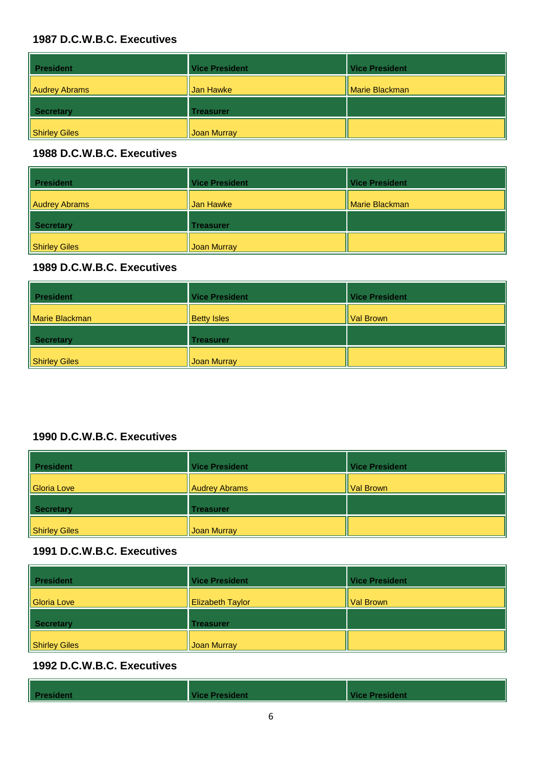| <b>President</b> | <b>Vice President</b> | <b>Vice President</b> |
|------------------|-----------------------|-----------------------|
| Audrey Abrams    | Jan Hawke             | Marie Blackman        |
| <b>Secretary</b> | <b>Treasurer</b>      |                       |
| Shirley Giles    | Joan Murray           |                       |

#### **1988 D.C.W.B.C. Executives**

| <b>President</b> | <b>Vice President</b> | <b>Vice President</b> |
|------------------|-----------------------|-----------------------|
| Audrey Abrams    | Jan Hawke             | Marie Blackman        |
| Secretary        | <b>Treasurer</b>      |                       |
| Shirley Giles    | Joan Murray           |                       |

## **1989 D.C.W.B.C. Executives**

| <b>President</b> | <b>Vice President</b> | <b>Vice President</b> |
|------------------|-----------------------|-----------------------|
| Marie Blackman   | <b>Betty Isles</b>    | Val Brown             |
| Secretary        | <b>Treasurer</b>      |                       |
| Shirley Giles    | Joan Murray           |                       |

# **1990 D.C.W.B.C. Executives**

| <b>President</b> | <b>Vice President</b> | <b>Vice President</b> |
|------------------|-----------------------|-----------------------|
| Gloria Love      | <b>Audrey Abrams</b>  | Val Brown             |
| Secretary        | <b>Treasurer</b>      |                       |
| Shirley Giles    | Joan Murray           |                       |

#### **1991 D.C.W.B.C. Executives**

| <b>President</b>     | <b>Vice President</b>   | <b>Vice President</b> |
|----------------------|-------------------------|-----------------------|
| Gloria Love          | <b>Elizabeth Taylor</b> | Val Brown             |
| Secretary            | <b>Treasurer</b>        |                       |
| <b>Shirley Giles</b> | <b>Joan Murray</b>      |                       |

| <b>President</b> | <b>Vice President</b> | <b>Vice President</b> |
|------------------|-----------------------|-----------------------|
|                  |                       |                       |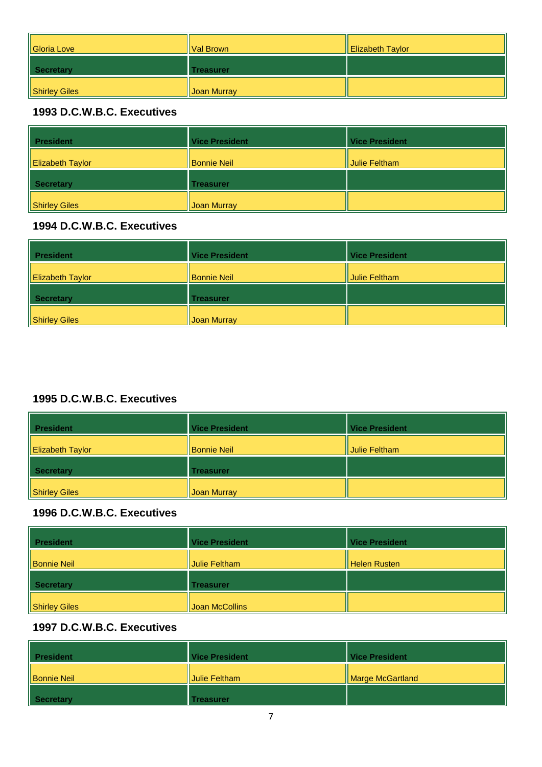| Gloria Love   | ll Val Brown | <b>Elizabeth Taylor</b> |
|---------------|--------------|-------------------------|
| Secretary     | Treasurer    |                         |
| Shirley Giles | Joan Murray  |                         |

| <b>President</b>        | <b>Vice President</b> | <b>Vice President</b> |
|-------------------------|-----------------------|-----------------------|
| <b>Elizabeth Taylor</b> | <b>Bonnie Neil</b>    | Julie Feltham         |
| <b>Secretary</b>        | <b>Treasurer</b>      |                       |
| Shirley Giles           | <b>Joan Murray</b>    |                       |

## **1994 D.C.W.B.C. Executives**

| <b>President</b>        | <b>Vice President</b> | <b>Vice President</b> |
|-------------------------|-----------------------|-----------------------|
| <b>Elizabeth Taylor</b> | <b>Bonnie Neil</b>    | Julie Feltham         |
| Secretary               | <b>Treasurer</b>      |                       |
| Shirley Giles           | <b>Joan Murray</b>    |                       |

# **1995 D.C.W.B.C. Executives**

| <b>President</b>        | <b>Vice President</b> | <b>Vice President</b> |
|-------------------------|-----------------------|-----------------------|
| <b>Elizabeth Taylor</b> | <b>Bonnie Neil</b>    | Julie Feltham         |
| <b>Secretary</b>        | <b>Treasurer</b>      |                       |
| Shirley Giles           | <b>Joan Murray</b>    |                       |

#### **1996 D.C.W.B.C. Executives**

| <b>President</b>   | <b>Vice President</b> | <b>Vice President</b> |
|--------------------|-----------------------|-----------------------|
| <b>Bonnie Neil</b> | Julie Feltham         | Helen Rusten          |
| Secretary          | <b>Treasurer</b>      |                       |
| Shirley Giles      | Joan McCollins        |                       |

| <b>President</b>   | Vice President | <b>Vice President</b> |
|--------------------|----------------|-----------------------|
| <b>Bonnie Neil</b> | Julie Feltham  | Marge McGartland      |
| Secretary          | Treasurer      |                       |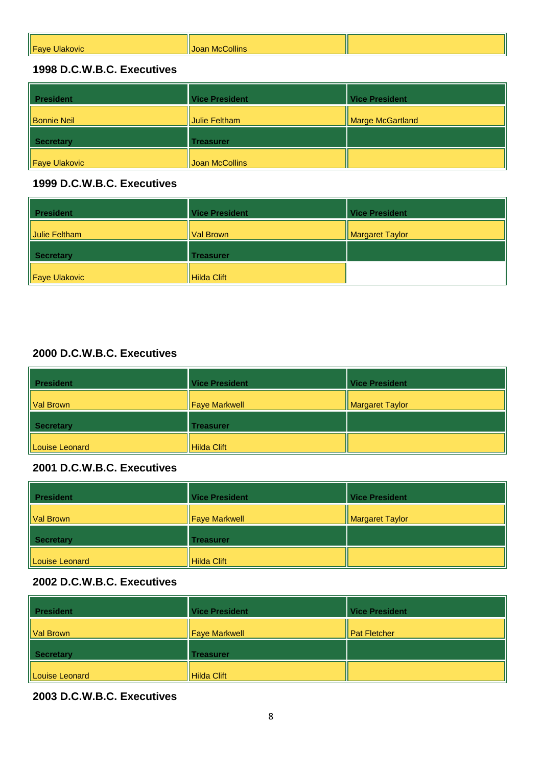| _<br>WIL.<br>ш | ivit |  |
|----------------|------|--|
|                |      |  |

| <b>President</b>   | <b>Vice President</b> | <b>Vice President</b> |
|--------------------|-----------------------|-----------------------|
| <b>Bonnie Neil</b> | Julie Feltham         | Marge McGartland      |
| <b>Secretary</b>   | <b>Treasurer</b>      |                       |
| Faye Ulakovic      | Joan McCollins        |                       |

#### **1999 D.C.W.B.C. Executives**

| <b>President</b> | <b>Vice President</b> | <b>Vice President</b> |
|------------------|-----------------------|-----------------------|
| Julie Feltham    | Val Brown             | Margaret Taylor       |
| <b>Secretary</b> | <b>Treasurer</b>      |                       |
| Faye Ulakovic    | Hilda Clift           |                       |

# **2000 D.C.W.B.C. Executives**

| <b>President</b> | <b>Vice President</b> | <b>Vice President</b> |
|------------------|-----------------------|-----------------------|
| Val Brown        | Faye Markwell         | Margaret Taylor       |
| Secretary        | <b>Treasurer</b>      |                       |
| Louise Leonard   | Hilda Clift           |                       |

# **2001 D.C.W.B.C. Executives**

| <b>President</b> | <b>Vice President</b> | <b>Vice President</b> |
|------------------|-----------------------|-----------------------|
| Val Brown        | <b>Faye Markwell</b>  | Margaret Taylor       |
| <b>Secretary</b> | <b>Treasurer</b>      |                       |
| Louise Leonard   | Hilda Clift           |                       |

#### **2002 D.C.W.B.C. Executives**

| <b>President</b> | <b>Vice President</b> | <b>Vice President</b> |
|------------------|-----------------------|-----------------------|
| Val Brown        | Faye Markwell         | <b>Pat Fletcher</b>   |
| Secretary        | <b>Treasurer</b>      |                       |
| Louise Leonard   | Hilda Clift           |                       |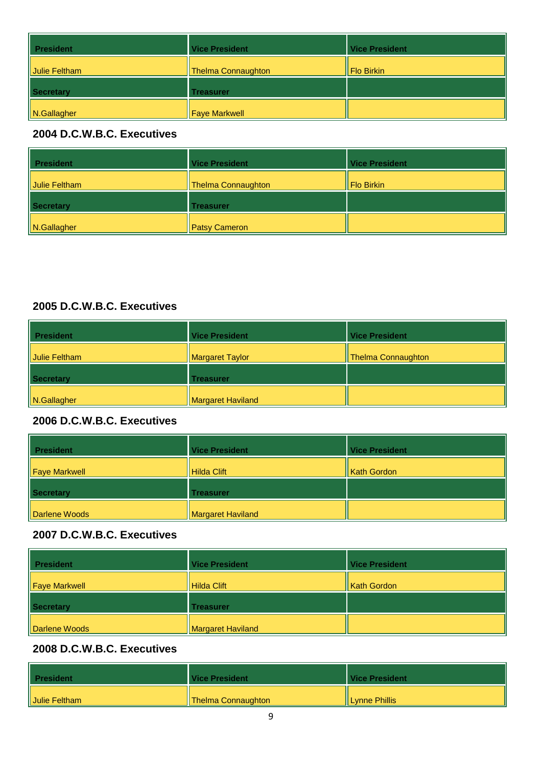| <b>President</b> | <b>Vice President</b> | <b>Vice President</b> |
|------------------|-----------------------|-----------------------|
| Julie Feltham    | Thelma Connaughton    | <b>Flo Birkin</b>     |
| Secretary        | <b>Treasurer</b>      |                       |
| N.Gallagher      | <b>Faye Markwell</b>  |                       |

| <b>President</b> | <b>Vice President</b> | <b>Vice President</b> |
|------------------|-----------------------|-----------------------|
| Julie Feltham    | Thelma Connaughton    | Flo Birkin            |
| Secretary        | <b>Treasurer</b>      |                       |
| N.Gallagher      | <b>Patsy Cameron</b>  |                       |

#### **2005 D.C.W.B.C. Executives**

| <b>President</b> | <b>Vice President</b> | <b>Vice President</b> |
|------------------|-----------------------|-----------------------|
| Julie Feltham    | Margaret Taylor       | Thelma Connaughton    |
| Secretary        | <b>Treasurer</b>      |                       |
| N.Gallagher      | Margaret Haviland     |                       |

# **2006 D.C.W.B.C. Executives**

| <b>President</b> | <b>Vice President</b> | <b>Vice President</b> |
|------------------|-----------------------|-----------------------|
| Faye Markwell    | Hilda Clift           | <b>Kath Gordon</b>    |
| Secretary        | <b>Treasurer</b>      |                       |
| Darlene Woods    | Margaret Haviland     |                       |

# **2007 D.C.W.B.C. Executives**

| <b>President</b> | <b>Vice President</b> | <b>Vice President</b> |
|------------------|-----------------------|-----------------------|
| Faye Markwell    | Hilda Clift           | <b>Kath Gordon</b>    |
| Secretary        | <b>Treasurer</b>      |                       |
| Darlene Woods    | Margaret Haviland     |                       |

| <b>President</b> | Vice President               | Vice President   |
|------------------|------------------------------|------------------|
| Uulie Feltham    | <b>IF</b> Thelma Connaughton | Il Lynne Phillis |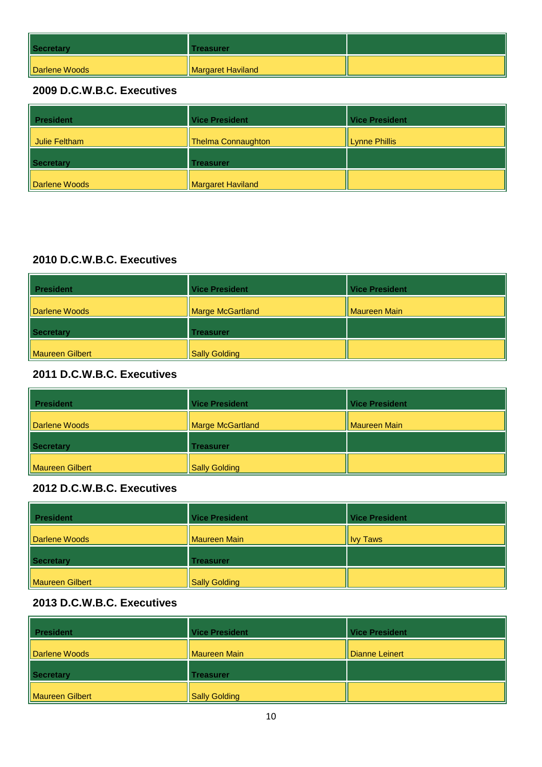| Secretary     | Treasurer         |  |
|---------------|-------------------|--|
| Darlene Woods | Margaret Haviland |  |

| <b>President</b>     | <b>Vice President</b>     | <b>Vice President</b> |
|----------------------|---------------------------|-----------------------|
| Julie Feltham        | <b>Thelma Connaughton</b> | <b>Lynne Phillis</b>  |
| <b>Secretary</b>     | <b>Treasurer</b>          |                       |
| <b>Darlene Woods</b> | <b>Margaret Haviland</b>  |                       |

#### **2010 D.C.W.B.C. Executives**

| <b>President</b> | <b>Vice President</b>   | <b>Vice President</b> |
|------------------|-------------------------|-----------------------|
| Darlene Woods    | <b>Marge McGartland</b> | Maureen Main          |
| Secretary        | Treasurer               |                       |
| Maureen Gilbert  | <b>Sally Golding</b>    |                       |

# **2011 D.C.W.B.C. Executives**

| <b>President</b>       | <b>Vice President</b> | <b>Vice President</b> |
|------------------------|-----------------------|-----------------------|
| Darlene Woods          | Marge McGartland      | <b>Maureen Main</b>   |
| Secretary              | <b>Treasurer</b>      |                       |
| <b>Maureen Gilbert</b> | <b>Sally Golding</b>  |                       |

## **2012 D.C.W.B.C. Executives**

| <b>President</b> | <b>Vice President</b> | <b>Vice President</b> |
|------------------|-----------------------|-----------------------|
| Darlene Woods    | Maureen Main          | <b>Ivy Taws</b>       |
| Secretary        | <b>Treasurer</b>      |                       |
| Maureen Gilbert  | Sally Golding         |                       |

| <b>President</b><br>Ш | <b>Vice President</b> | <b>Vice President</b> |
|-----------------------|-----------------------|-----------------------|
| Darlene Woods         | Maureen Main          | Il Dianne Leinert     |
| Secretary             | <b>Treasurer</b>      |                       |
| Maureen Gilbert       | <b>Sally Golding</b>  |                       |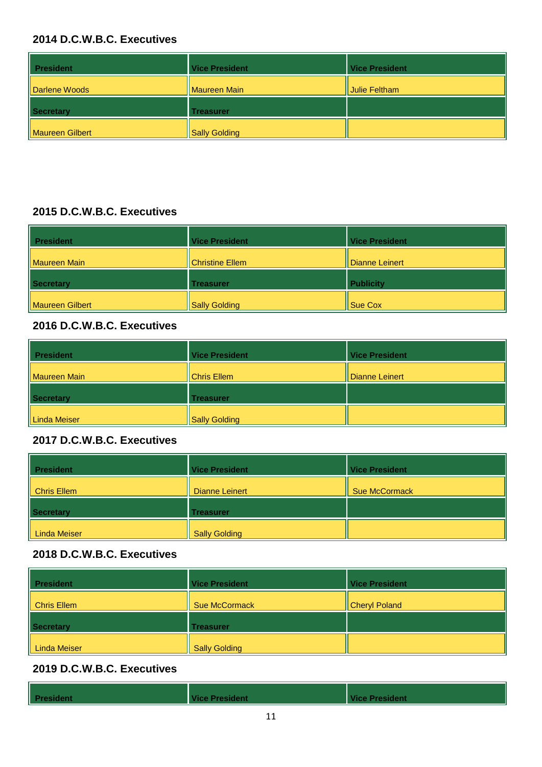| <b>President</b> | <b>Vice President</b> | <b>Vice President</b> |
|------------------|-----------------------|-----------------------|
| Darlene Woods    | <b>Maureen Main</b>   | Julie Feltham         |
| Secretary        | <b>Treasurer</b>      |                       |
| Maureen Gilbert  | <b>Sally Golding</b>  |                       |

#### **2015 D.C.W.B.C. Executives**

| <b>President</b>    | <b>Vice President</b> | <b>Vice President</b> |
|---------------------|-----------------------|-----------------------|
| <b>Maureen Main</b> | Christine Ellem       | Dianne Leinert        |
| <b>Secretary</b>    | <b>Treasurer</b>      | <b>Publicity</b>      |
| Maureen Gilbert     | <b>Sally Golding</b>  | Sue Cox               |

#### **2016 D.C.W.B.C. Executives**

| <b>President</b> | <b>Vice President</b> | <b>Vice President</b> |
|------------------|-----------------------|-----------------------|
| Maureen Main     | Chris Ellem           | Dianne Leinert        |
| Secretary        | <b>Treasurer</b>      |                       |
| Linda Meiser     | Sally Golding         |                       |

## **2017 D.C.W.B.C. Executives**

| <b>President</b> | <b>Vice President</b> | <b>Vice President</b> |
|------------------|-----------------------|-----------------------|
| Chris Ellem      | Dianne Leinert        | Sue McCormack         |
| Secretary        | <b>Treasurer</b>      |                       |
| Linda Meiser     | <b>Sally Golding</b>  |                       |

#### **2018 D.C.W.B.C. Executives**

| <b>President</b>    | <b>Vice President</b> | <b>Vice President</b> |
|---------------------|-----------------------|-----------------------|
| Chris Ellem         | Sue McCormack         | Cheryl Poland         |
| Secretary           | <b>Treasurer</b>      |                       |
| <b>Linda Meiser</b> | <b>Sally Golding</b>  |                       |

| President | <b>Vice President</b> | Vice President |
|-----------|-----------------------|----------------|
|           |                       |                |